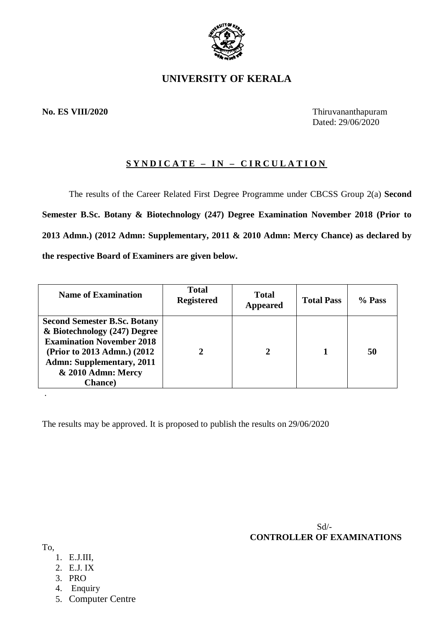

# **UNIVERSITY OF KERALA**

# **No. ES VIII/2020** Thiruvananthapuram

Dated: 29/06/2020

# **S Y N D I C A T E – I N – C I R C U L A T I O N**

The results of the Career Related First Degree Programme under CBCSS Group 2(a) **Second Semester B.Sc. Botany & Biotechnology (247) Degree Examination November 2018 (Prior to 2013 Admn.) (2012 Admn: Supplementary, 2011 & 2010 Admn: Mercy Chance) as declared by the respective Board of Examiners are given below.**

| <b>Name of Examination</b>                                                                                                                                                                                           | <b>Total</b><br><b>Registered</b> | <b>Total</b><br><b>Appeared</b> | <b>Total Pass</b> | $%$ Pass |
|----------------------------------------------------------------------------------------------------------------------------------------------------------------------------------------------------------------------|-----------------------------------|---------------------------------|-------------------|----------|
| <b>Second Semester B.Sc. Botany</b><br>& Biotechnology (247) Degree<br><b>Examination November 2018</b><br>(Prior to 2013 Admn.) (2012)<br><b>Admn: Supplementary, 2011</b><br>& 2010 Admn: Mercy<br><b>Chance</b> ) |                                   | 2                               |                   | 50       |

The results may be approved. It is proposed to publish the results on 29/06/2020

 Sd/-  **CONTROLLER OF EXAMINATIONS**

#### To,

.

- 1. E.J.III,
- 2. E.J. IX
- 3. PRO
- 4. Enquiry
- 5. Computer Centre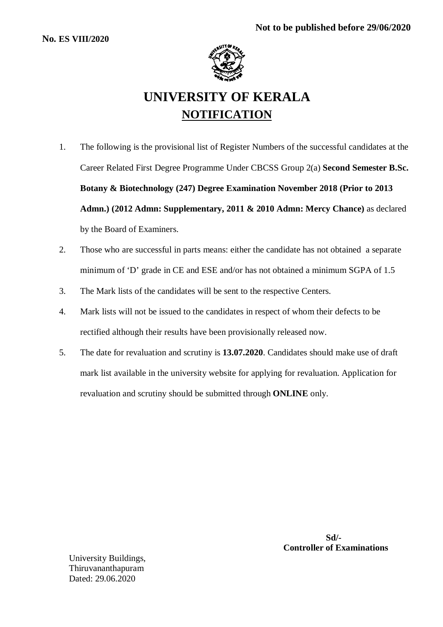

# **UNIVERSITY OF KERALA NOTIFICATION**

- 1. The following is the provisional list of Register Numbers of the successful candidates at the Career Related First Degree Programme Under CBCSS Group 2(a) **Second Semester B.Sc. Botany & Biotechnology (247) Degree Examination November 2018 (Prior to 2013 Admn.) (2012 Admn: Supplementary, 2011 & 2010 Admn: Mercy Chance)** as declared by the Board of Examiners.
- 2. Those who are successful in parts means: either the candidate has not obtained a separate minimum of 'D' grade in CE and ESE and/or has not obtained a minimum SGPA of 1.5
- 3. The Mark lists of the candidates will be sent to the respective Centers.
- 4. Mark lists will not be issued to the candidates in respect of whom their defects to be rectified although their results have been provisionally released now.
- 5. The date for revaluation and scrutiny is **13.07.2020**. Candidates should make use of draft mark list available in the university website for applying for revaluation. Application for revaluation and scrutiny should be submitted through **ONLINE** only.

University Buildings, Thiruvananthapuram Dated: 29.06.2020